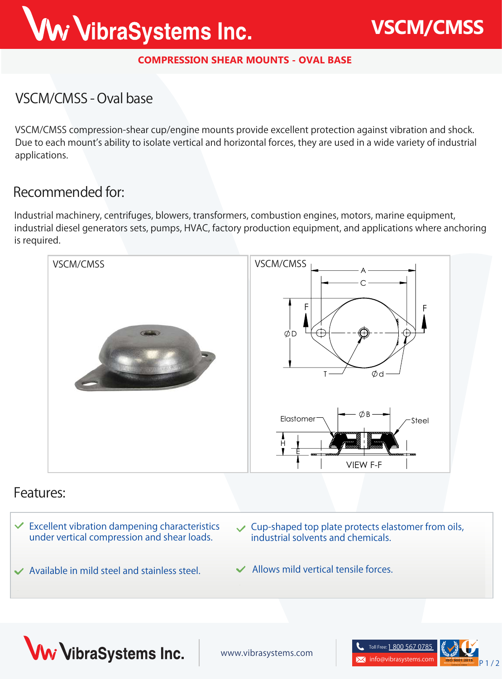## Ww VibraSystems Inc.

#### **COMPRESSION SHEAR MOUNTS - OVAL BASE**

#### **VSCM/CMSS - Oval base**

**VSCM/CMSS** compression-shear cup/engine mounts provide excellent protection against vibration and shock. Due to each mount's ability to isolate vertical and horizontal forces, they are used in a wide variety of industrial applications.

#### **Recommended for:**

Industrial machinery, centrifuges, blowers, transformers, combustion engines, motors, marine equipment, industrial diesel generators sets, pumps, HVAC, factory production equipment, and applications where anchoring is required.



#### **Features:**